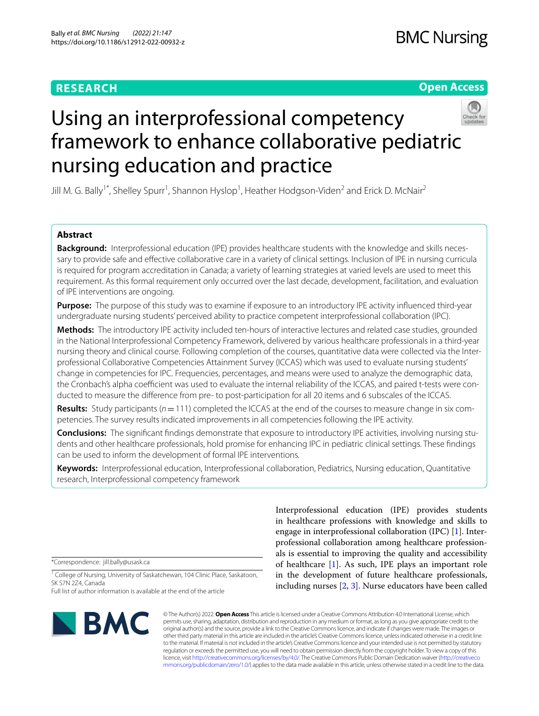# **RESEARCH**

# **Open Access**



# Using an interprofessional competency framework to enhance collaborative pediatric nursing education and practice

Jill M. G. Bally<sup>1\*</sup>, Shelley Spurr<sup>1</sup>, Shannon Hyslop<sup>1</sup>, Heather Hodgson-Viden<sup>2</sup> and Erick D. McNair<sup>2</sup>

# **Abstract**

**Background:** Interprofessional education (IPE) provides healthcare students with the knowledge and skills necessary to provide safe and efective collaborative care in a variety of clinical settings. Inclusion of IPE in nursing curricula is required for program accreditation in Canada; a variety of learning strategies at varied levels are used to meet this requirement. As this formal requirement only occurred over the last decade, development, facilitation, and evaluation of IPE interventions are ongoing.

**Purpose:** The purpose of this study was to examine if exposure to an introductory IPE activity infuenced third-year undergraduate nursing students' perceived ability to practice competent interprofessional collaboration (IPC).

**Methods:** The introductory IPE activity included ten-hours of interactive lectures and related case studies, grounded in the National Interprofessional Competency Framework, delivered by various healthcare professionals in a third-year nursing theory and clinical course. Following completion of the courses, quantitative data were collected via the Interprofessional Collaborative Competencies Attainment Survey (ICCAS) which was used to evaluate nursing students' change in competencies for IPC. Frequencies, percentages, and means were used to analyze the demographic data, the Cronbach's alpha coefficient was used to evaluate the internal reliability of the ICCAS, and paired t-tests were conducted to measure the diference from pre- to post-participation for all 20 items and 6 subscales of the ICCAS.

Results: Study participants ( $n=111$ ) completed the ICCAS at the end of the courses to measure change in six competencies. The survey results indicated improvements in all competencies following the IPE activity.

**Conclusions:** The signifcant fndings demonstrate that exposure to introductory IPE activities, involving nursing stu‑ dents and other healthcare professionals, hold promise for enhancing IPC in pediatric clinical settings. These fndings can be used to inform the development of formal IPE interventions.

**Keywords:** Interprofessional education, Interprofessional collaboration, Pediatrics, Nursing education, Quantitative research, Interprofessional competency framework

\*Correspondence: jill.bally@usask.ca

<sup>1</sup> College of Nursing, University of Saskatchewan, 104 Clinic Place, Saskatoon, SK S7N 2Z4, Canada

Full list of author information is available at the end of the article



Interprofessional education (IPE) provides students in healthcare professions with knowledge and skills to engage in interprofessional collaboration (IPC) [\[1](#page-9-0)]. Interprofessional collaboration among healthcare professionals is essential to improving the quality and accessibility of healthcare [\[1](#page-9-0)]. As such, IPE plays an important role in the development of future healthcare professionals, including nurses [\[2](#page-9-1), [3\]](#page-9-2). Nurse educators have been called

© The Author(s) 2022. **Open Access** This article is licensed under a Creative Commons Attribution 4.0 International License, which permits use, sharing, adaptation, distribution and reproduction in any medium or format, as long as you give appropriate credit to the original author(s) and the source, provide a link to the Creative Commons licence, and indicate if changes were made. The images or other third party material in this article are included in the article's Creative Commons licence, unless indicated otherwise in a credit line to the material. If material is not included in the article's Creative Commons licence and your intended use is not permitted by statutory regulation or exceeds the permitted use, you will need to obtain permission directly from the copyright holder. To view a copy of this licence, visit [http://creativecommons.org/licenses/by/4.0/.](http://creativecommons.org/licenses/by/4.0/) The Creative Commons Public Domain Dedication waiver ([http://creativeco](http://creativecommons.org/publicdomain/zero/1.0/) [mmons.org/publicdomain/zero/1.0/](http://creativecommons.org/publicdomain/zero/1.0/)) applies to the data made available in this article, unless otherwise stated in a credit line to the data.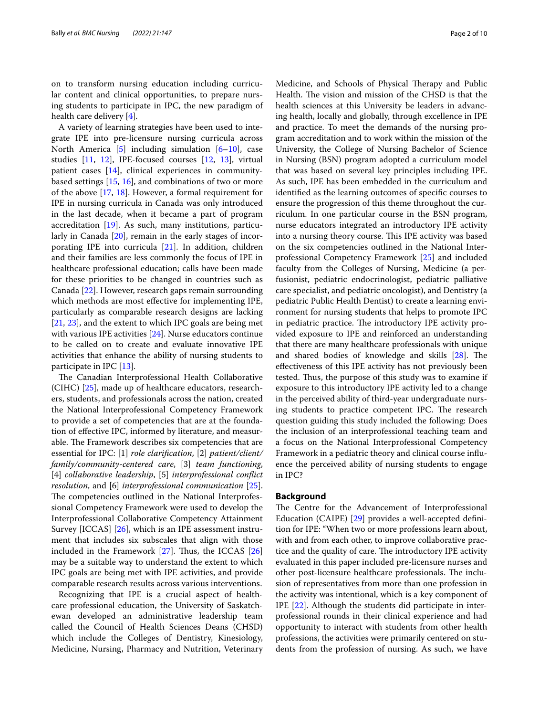on to transform nursing education including curricular content and clinical opportunities, to prepare nursing students to participate in IPC, the new paradigm of health care delivery [[4\]](#page-9-3).

A variety of learning strategies have been used to integrate IPE into pre-licensure nursing curricula across North America  $[5]$  $[5]$  including simulation  $[6-10]$  $[6-10]$ , case studies [[11,](#page-9-7) [12\]](#page-9-8), IPE-focused courses [[12,](#page-9-8) [13](#page-9-9)], virtual patient cases [[14](#page-9-10)], clinical experiences in communitybased settings [\[15,](#page-9-11) [16\]](#page-9-12), and combinations of two or more of the above [\[17](#page-9-13), [18](#page-9-14)]. However, a formal requirement for IPE in nursing curricula in Canada was only introduced in the last decade, when it became a part of program accreditation [[19\]](#page-9-15). As such, many institutions, particularly in Canada [\[20](#page-9-16)], remain in the early stages of incorporating IPE into curricula [[21\]](#page-9-17). In addition, children and their families are less commonly the focus of IPE in healthcare professional education; calls have been made for these priorities to be changed in countries such as Canada [\[22\]](#page-9-18). However, research gaps remain surrounding which methods are most efective for implementing IPE, particularly as comparable research designs are lacking [[21,](#page-9-17) [23](#page-9-19)], and the extent to which IPC goals are being met with various IPE activities [[24\]](#page-9-20). Nurse educators continue to be called on to create and evaluate innovative IPE activities that enhance the ability of nursing students to participate in IPC [[13\]](#page-9-9).

The Canadian Interprofessional Health Collaborative (CIHC) [[25\]](#page-9-21), made up of healthcare educators, researchers, students, and professionals across the nation, created the National Interprofessional Competency Framework to provide a set of competencies that are at the foundation of efective IPC, informed by literature, and measurable. The Framework describes six competencies that are essential for IPC: [1] *role clarifcation*, [2] *patient/client/ family/community-centered care*, [3] *team functioning*, [4] *collaborative leadership*, [5] *interprofessional confict resolution*, and [6] *interprofessional communication* [\[25](#page-9-21)]. The competencies outlined in the National Interprofessional Competency Framework were used to develop the Interprofessional Collaborative Competency Attainment Survey [ICCAS] [\[26](#page-9-22)], which is an IPE assessment instrument that includes six subscales that align with those included in the Framework  $[27]$  $[27]$ . Thus, the ICCAS  $[26]$  $[26]$  $[26]$ may be a suitable way to understand the extent to which IPC goals are being met with IPE activities, and provide comparable research results across various interventions.

Recognizing that IPE is a crucial aspect of healthcare professional education, the University of Saskatchewan developed an administrative leadership team called the Council of Health Sciences Deans (CHSD) which include the Colleges of Dentistry, Kinesiology, Medicine, Nursing, Pharmacy and Nutrition, Veterinary Medicine, and Schools of Physical Therapy and Public Health. The vision and mission of the CHSD is that the health sciences at this University be leaders in advancing health, locally and globally, through excellence in IPE and practice. To meet the demands of the nursing program accreditation and to work within the mission of the University, the College of Nursing Bachelor of Science in Nursing (BSN) program adopted a curriculum model that was based on several key principles including IPE. As such, IPE has been embedded in the curriculum and identifed as the learning outcomes of specifc courses to ensure the progression of this theme throughout the curriculum. In one particular course in the BSN program, nurse educators integrated an introductory IPE activity into a nursing theory course. This IPE activity was based on the six competencies outlined in the National Interprofessional Competency Framework [\[25](#page-9-21)] and included faculty from the Colleges of Nursing, Medicine (a perfusionist, pediatric endocrinologist, pediatric palliative care specialist, and pediatric oncologist), and Dentistry (a pediatric Public Health Dentist) to create a learning environment for nursing students that helps to promote IPC in pediatric practice. The introductory IPE activity provided exposure to IPE and reinforced an understanding that there are many healthcare professionals with unique and shared bodies of knowledge and skills [[28](#page-9-24)]. The efectiveness of this IPE activity has not previously been tested. Thus, the purpose of this study was to examine if exposure to this introductory IPE activity led to a change in the perceived ability of third-year undergraduate nursing students to practice competent IPC. The research question guiding this study included the following: Does the inclusion of an interprofessional teaching team and a focus on the National Interprofessional Competency Framework in a pediatric theory and clinical course infuence the perceived ability of nursing students to engage in IPC?

#### **Background**

The Centre for the Advancement of Interprofessional Education (CAIPE) [[29](#page-9-25)] provides a well-accepted defnition for IPE: "When two or more professions learn about, with and from each other, to improve collaborative practice and the quality of care. The introductory IPE activity evaluated in this paper included pre-licensure nurses and other post-licensure healthcare professionals. The inclusion of representatives from more than one profession in the activity was intentional, which is a key component of IPE [[22\]](#page-9-18). Although the students did participate in interprofessional rounds in their clinical experience and had opportunity to interact with students from other health professions, the activities were primarily centered on students from the profession of nursing. As such, we have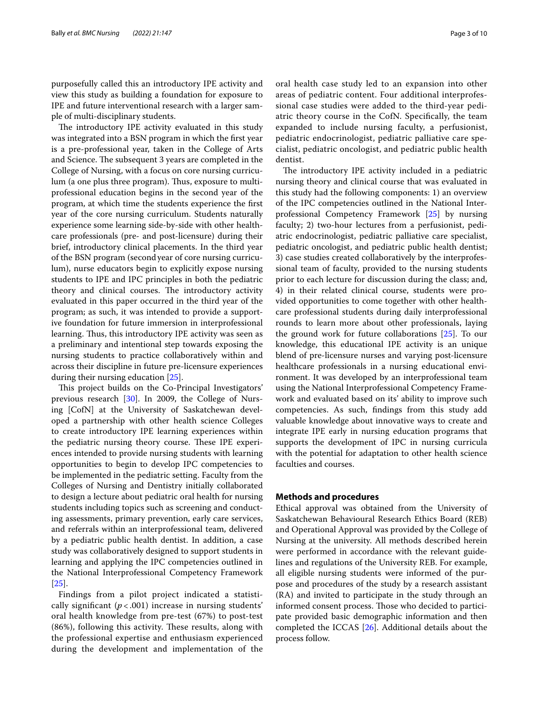purposefully called this an introductory IPE activity and view this study as building a foundation for exposure to IPE and future interventional research with a larger sample of multi-disciplinary students.

The introductory IPE activity evaluated in this study was integrated into a BSN program in which the frst year is a pre-professional year, taken in the College of Arts and Science. The subsequent 3 years are completed in the College of Nursing, with a focus on core nursing curriculum (a one plus three program). Thus, exposure to multiprofessional education begins in the second year of the program, at which time the students experience the frst year of the core nursing curriculum. Students naturally experience some learning side-by-side with other healthcare professionals (pre- and post-licensure) during their brief, introductory clinical placements. In the third year of the BSN program (secondyear of core nursing curriculum), nurse educators begin to explicitly expose nursing students to IPE and IPC principles in both the pediatric theory and clinical courses. The introductory activity evaluated in this paper occurred in the third year of the program; as such, it was intended to provide a supportive foundation for future immersion in interprofessional learning. Thus, this introductory IPE activity was seen as a preliminary and intentional step towards exposing the nursing students to practice collaboratively within and across their discipline in future pre-licensure experiences during their nursing education [\[25](#page-9-21)].

This project builds on the Co-Principal Investigators' previous research [\[30](#page-9-26)]. In 2009, the College of Nursing [CofN] at the University of Saskatchewan developed a partnership with other health science Colleges to create introductory IPE learning experiences within the pediatric nursing theory course. These IPE experiences intended to provide nursing students with learning opportunities to begin to develop IPC competencies to be implemented in the pediatric setting. Faculty from the Colleges of Nursing and Dentistry initially collaborated to design a lecture about pediatric oral health for nursing students including topics such as screening and conducting assessments, primary prevention, early care services, and referrals within an interprofessional team, delivered by a pediatric public health dentist. In addition, a case study was collaboratively designed to support students in learning and applying the IPC competencies outlined in the National Interprofessional Competency Framework [[25\]](#page-9-21).

Findings from a pilot project indicated a statistically significant  $(p < .001)$  increase in nursing students' oral health knowledge from pre-test (67%) to post-test  $(86%)$ , following this activity. These results, along with the professional expertise and enthusiasm experienced during the development and implementation of the oral health case study led to an expansion into other areas of pediatric content. Four additional interprofessional case studies were added to the third-year pediatric theory course in the CofN. Specifcally, the team expanded to include nursing faculty, a perfusionist, pediatric endocrinologist, pediatric palliative care specialist, pediatric oncologist, and pediatric public health dentist.

The introductory IPE activity included in a pediatric nursing theory and clinical course that was evaluated in this study had the following components: 1) an overview of the IPC competencies outlined in the National Interprofessional Competency Framework [\[25](#page-9-21)] by nursing faculty; 2) two-hour lectures from a perfusionist, pediatric endocrinologist, pediatric palliative care specialist, pediatric oncologist, and pediatric public health dentist; 3) case studies created collaboratively by the interprofessional team of faculty, provided to the nursing students prior to each lecture for discussion during the class; and, 4) in their related clinical course, students were provided opportunities to come together with other healthcare professional students during daily interprofessional rounds to learn more about other professionals, laying the ground work for future collaborations [\[25](#page-9-21)]. To our knowledge, this educational IPE activity is an unique blend of pre-licensure nurses and varying post-licensure healthcare professionals in a nursing educational environment. It was developed by an interprofessional team using the National Interprofessional Competency Framework and evaluated based on its' ability to improve such competencies. As such, fndings from this study add valuable knowledge about innovative ways to create and integrate IPE early in nursing education programs that supports the development of IPC in nursing curricula with the potential for adaptation to other health science faculties and courses.

# **Methods and procedures**

Ethical approval was obtained from the University of Saskatchewan Behavioural Research Ethics Board (REB) and Operational Approval was provided by the College of Nursing at the university. All methods described herein were performed in accordance with the relevant guidelines and regulations of the University REB. For example, all eligible nursing students were informed of the purpose and procedures of the study by a research assistant (RA) and invited to participate in the study through an informed consent process. Those who decided to participate provided basic demographic information and then completed the ICCAS [\[26](#page-9-22)]. Additional details about the process follow.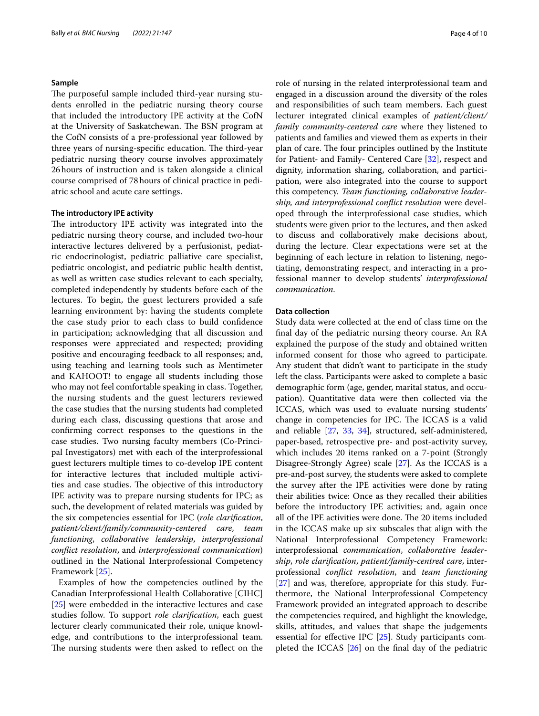#### **Sample**

The purposeful sample included third-year nursing students enrolled in the pediatric nursing theory course that included the introductory IPE activity at the CofN at the University of Saskatchewan. The BSN program at the CofN consists of a pre-professional year followed by three years of nursing-specific education. The third-year pediatric nursing theory course involves approximately 26hours of instruction and is taken alongside a clinical course comprised of 78hours of clinical practice in pediatric school and acute care settings.

#### **The introductory IPE activity**

The introductory IPE activity was integrated into the pediatric nursing theory course, and included two-hour interactive lectures delivered by a perfusionist, pediatric endocrinologist, pediatric palliative care specialist, pediatric oncologist, and pediatric public health dentist, as well as written case studies relevant to each specialty, completed independently by students before each of the lectures. To begin, the guest lecturers provided a safe learning environment by: having the students complete the case study prior to each class to build confdence in participation; acknowledging that all discussion and responses were appreciated and respected; providing positive and encouraging feedback to all responses; and, using teaching and learning tools such as Mentimeter and KAHOOT! to engage all students including those who may not feel comfortable speaking in class. Together, the nursing students and the guest lecturers reviewed the case studies that the nursing students had completed during each class, discussing questions that arose and confrming correct responses to the questions in the case studies. Two nursing faculty members (Co-Principal Investigators) met with each of the interprofessional guest lecturers multiple times to co-develop IPE content for interactive lectures that included multiple activities and case studies. The objective of this introductory IPE activity was to prepare nursing students for IPC; as such, the development of related materials was guided by the six competencies essential for IPC (*role clarifcation*, *patient/client/family/community-centered care*, *team functioning*, *collaborative leadership*, *interprofessional confict resolution*, and *interprofessional communication*) outlined in the National Interprofessional Competency Framework [[25\]](#page-9-21).

Examples of how the competencies outlined by the Canadian Interprofessional Health Collaborative [CIHC] [[25\]](#page-9-21) were embedded in the interactive lectures and case studies follow. To support *role clarifcation*, each guest lecturer clearly communicated their role, unique knowledge, and contributions to the interprofessional team. The nursing students were then asked to reflect on the role of nursing in the related interprofessional team and engaged in a discussion around the diversity of the roles and responsibilities of such team members. Each guest lecturer integrated clinical examples of *patient/client/ family community-centered care* where they listened to patients and families and viewed them as experts in their plan of care. The four principles outlined by the Institute for Patient- and Family- Centered Care [[32](#page-9-27)], respect and dignity, information sharing, collaboration, and participation, were also integrated into the course to support this competency. *Team functioning, collaborative leadership, and interprofessional confict resolution* were developed through the interprofessional case studies, which students were given prior to the lectures, and then asked to discuss and collaboratively make decisions about, during the lecture. Clear expectations were set at the beginning of each lecture in relation to listening, negotiating, demonstrating respect, and interacting in a professional manner to develop students' *interprofessional communication*.

# **Data collection**

Study data were collected at the end of class time on the fnal day of the pediatric nursing theory course. An RA explained the purpose of the study and obtained written informed consent for those who agreed to participate. Any student that didn't want to participate in the study left the class. Participants were asked to complete a basic demographic form (age, gender, marital status, and occupation). Quantitative data were then collected via the ICCAS, which was used to evaluate nursing students' change in competencies for IPC. The ICCAS is a valid and reliable [\[27](#page-9-23), [33,](#page-9-28) [34](#page-9-29)], structured, self-administered, paper-based, retrospective pre- and post-activity survey, which includes 20 items ranked on a 7-point (Strongly Disagree-Strongly Agree) scale [\[27\]](#page-9-23). As the ICCAS is a pre-and-post survey, the students were asked to complete the survey after the IPE activities were done by rating their abilities twice: Once as they recalled their abilities before the introductory IPE activities; and, again once all of the IPE activities were done. The 20 items included in the ICCAS make up six subscales that align with the National Interprofessional Competency Framework: interprofessional *communication*, *collaborative leadership*, *role clarifcation*, *patient/family-centred care*, interprofessional *confict resolution*, and *team functioning* [[27\]](#page-9-23) and was, therefore, appropriate for this study. Furthermore, the National Interprofessional Competency Framework provided an integrated approach to describe the competencies required, and highlight the knowledge, skills, attitudes, and values that shape the judgements essential for efective IPC [[25\]](#page-9-21). Study participants completed the ICCAS  $[26]$  $[26]$  $[26]$  on the final day of the pediatric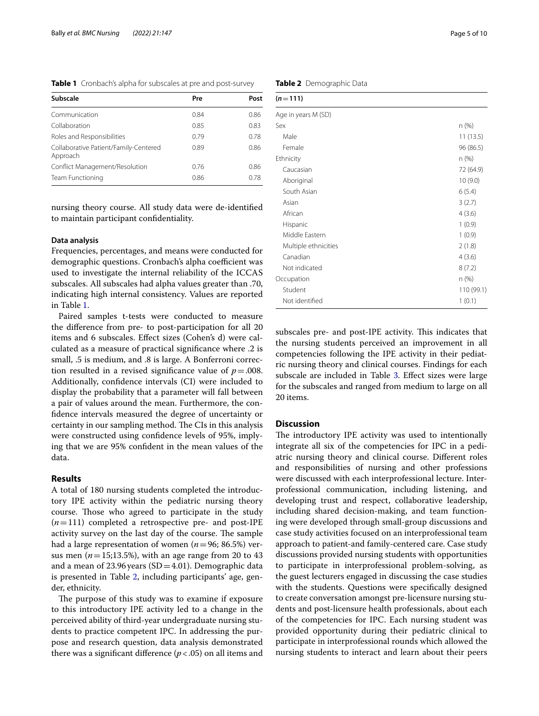<span id="page-4-0"></span>**Table 1** Cronbach's alpha for subscales at pre and post-survey

| Subscale                                          | Pre  | Post |
|---------------------------------------------------|------|------|
| Communication                                     | 0.84 | 0.86 |
| Collaboration                                     | 0.85 | 0.83 |
| Roles and Responsibilities                        | 0.79 | 0.78 |
| Collaborative Patient/Family-Centered<br>Approach | 0.89 | 0.86 |
| Conflict Management/Resolution                    | 0.76 | 0.86 |
| Team Functioning                                  | 0.86 | 0.78 |

nursing theory course. All study data were de-identifed to maintain participant confdentiality.

# **Data analysis**

Frequencies, percentages, and means were conducted for demographic questions. Cronbach's alpha coefficient was used to investigate the internal reliability of the ICCAS subscales. All subscales had alpha values greater than .70, indicating high internal consistency. Values are reported in Table [1](#page-4-0).

Paired samples t-tests were conducted to measure the diference from pre- to post-participation for all 20 items and 6 subscales. Efect sizes (Cohen's d) were calculated as a measure of practical signifcance where .2 is small, .5 is medium, and .8 is large. A Bonferroni correction resulted in a revised significance value of  $p = .008$ . Additionally, confdence intervals (CI) were included to display the probability that a parameter will fall between a pair of values around the mean. Furthermore, the confdence intervals measured the degree of uncertainty or certainty in our sampling method. The CIs in this analysis were constructed using confdence levels of 95%, implying that we are 95% confdent in the mean values of the data.

# **Results**

A total of 180 nursing students completed the introductory IPE activity within the pediatric nursing theory course. Those who agreed to participate in the study  $(n=111)$  completed a retrospective pre- and post-IPE activity survey on the last day of the course. The sample had a large representation of women ( $n=96$ ; 86.5%) versus men ( $n=15;13.5%$ ), with an age range from 20 to 43 and a mean of  $23.96$  years (SD = 4.01). Demographic data is presented in Table [2,](#page-4-1) including participants' age, gender, ethnicity.

The purpose of this study was to examine if exposure to this introductory IPE activity led to a change in the perceived ability of third-year undergraduate nursing students to practice competent IPC. In addressing the purpose and research question, data analysis demonstrated there was a significant difference  $(p < .05)$  on all items and

| n(%)      |
|-----------|
| 11(13.5)  |
| 96 (86.5) |
| n(%)      |
| 72 (64.9) |
| 10(9.0)   |
| 6(5.4)    |
| 3(2.7)    |
| 4(3.6)    |
| 1(0.9)    |
|           |

subscales pre- and post-IPE activity. This indicates that the nursing students perceived an improvement in all competencies following the IPE activity in their pediatric nursing theory and clinical courses. Findings for each subscale are included in Table [3.](#page-5-0) Effect sizes were large for the subscales and ranged from medium to large on all 20 items.

Middle Eastern 1 (0.9) Multiple ethnicities 2 (1.8) Canadian 4 (3.6) Not indicated 8 (7.2) Occupation n (%) Student 110 (99.1) Not identified 1 (0.1)

# **Discussion**

The introductory IPE activity was used to intentionally integrate all six of the competencies for IPC in a pediatric nursing theory and clinical course. Diferent roles and responsibilities of nursing and other professions were discussed with each interprofessional lecture. Interprofessional communication, including listening, and developing trust and respect, collaborative leadership, including shared decision-making, and team functioning were developed through small-group discussions and case study activities focused on an interprofessional team approach to patient-and family-centered care. Case study discussions provided nursing students with opportunities to participate in interprofessional problem-solving, as the guest lecturers engaged in discussing the case studies with the students. Questions were specifcally designed to create conversation amongst pre-licensure nursing students and post-licensure health professionals, about each of the competencies for IPC. Each nursing student was provided opportunity during their pediatric clinical to participate in interprofessional rounds which allowed the nursing students to interact and learn about their peers

<span id="page-4-1"></span>**Table 2** Demographic Data

 $(n=111)$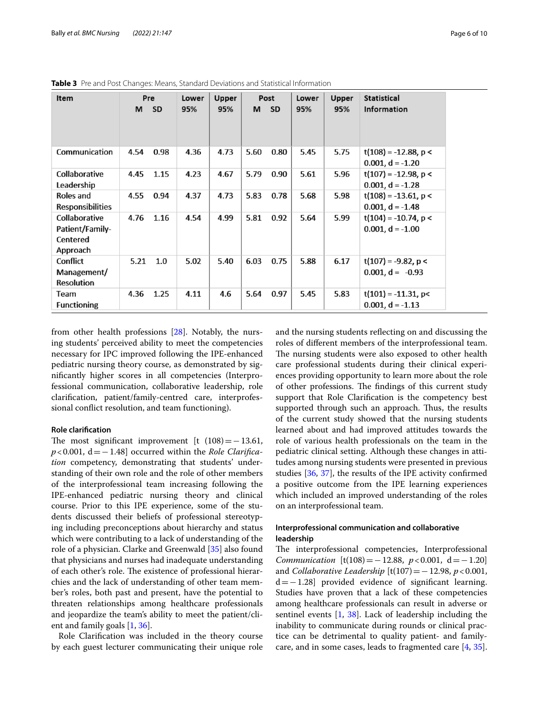| Item                                                     | Pre<br>м | - SD | Lower<br>95% | Upper<br>95% | м    | Post<br><b>SD</b> | Lower<br>95% | Upper<br>95% | Statistical<br><b>Information</b>             |
|----------------------------------------------------------|----------|------|--------------|--------------|------|-------------------|--------------|--------------|-----------------------------------------------|
| Communication                                            | 4.54     | 0.98 | 4.36         | 4.73         | 5.60 | 0.80              | 5.45         | 5.75         | $t(108) = -12.88$ , p <                       |
| Collaborative                                            | 4.45     | 1.15 | 4.23         | 4.67         | 5.79 | 0.90              | 5.61         | 5.96         | $0.001, d = -1.20$<br>$t(107) = -12.98$ , p < |
| Leadership                                               |          |      |              |              |      |                   |              |              | $0.001, d = -1.28$                            |
| Roles and<br><b>Responsibilities</b>                     | 4.55     | 0.94 | 4.37         | 4.73         | 5.83 | 0.78              | 5.68         | 5.98         | $t(108) = -13.61$ , p <<br>$0.001, d = -1.48$ |
| Collaborative<br>Patient/Family-<br>Centered<br>Approach | 4.76     | 1.16 | 4.54         | 4.99         | 5.81 | 0.92              | 5.64         | 5.99         | $t(104) = -10.74$ , p <<br>$0.001, d = -1.00$ |
| Conflict<br>Management/<br><b>Resolution</b>             | 5.21     | 1.0  | 5.02         | 5.40         | 6.03 | 0.75              | 5.88         | 6.17         | $t(107) = -9.82$ , p <<br>$0.001, d = -0.93$  |
| Team<br><b>Functioning</b>                               | 4.36     | 1.25 | 4.11         | 4.6          | 5.64 | 0.97              | 5.45         | 5.83         | $t(101) = -11.31$ , p<<br>$0.001, d = -1.13$  |

<span id="page-5-0"></span>**Table 3** Pre and Post Changes: Means, Standard Deviations and Statistical Information

from other health professions [\[28\]](#page-9-24). Notably, the nursing students' perceived ability to meet the competencies necessary for IPC improved following the IPE-enhanced pediatric nursing theory course, as demonstrated by signifcantly higher scores in all competencies (Interprofessional communication, collaborative leadership, role clarifcation, patient/family-centred care, interprofessional confict resolution, and team functioning).

# **Role clarifcation**

The most significant improvement [t  $(108) = -13.61$ , *p*<0.001, d = −1.48] occurred within the *Role Clarification* competency, demonstrating that students' understanding of their own role and the role of other members of the interprofessional team increasing following the IPE-enhanced pediatric nursing theory and clinical course. Prior to this IPE experience, some of the students discussed their beliefs of professional stereotyping including preconceptions about hierarchy and status which were contributing to a lack of understanding of the role of a physician. Clarke and Greenwald [[35](#page-9-30)] also found that physicians and nurses had inadequate understanding of each other's role. The existence of professional hierarchies and the lack of understanding of other team member's roles, both past and present, have the potential to threaten relationships among healthcare professionals and jeopardize the team's ability to meet the patient/client and family goals [[1](#page-9-0), [36\]](#page-9-31).

Role Clarifcation was included in the theory course by each guest lecturer communicating their unique role and the nursing students refecting on and discussing the roles of diferent members of the interprofessional team. The nursing students were also exposed to other health care professional students during their clinical experiences providing opportunity to learn more about the role of other professions. The findings of this current study support that Role Clarifcation is the competency best supported through such an approach. Thus, the results of the current study showed that the nursing students learned about and had improved attitudes towards the role of various health professionals on the team in the pediatric clinical setting. Although these changes in attitudes among nursing students were presented in previous studies [\[36](#page-9-31), [37](#page-9-32)], the results of the IPE activity confrmed a positive outcome from the IPE learning experiences which included an improved understanding of the roles on an interprofessional team.

# **Interprofessional communication and collaborative leadership**

The interprofessional competencies, Interprofessional *Communication*  $[t(108) = -12.88, p < 0.001, d = -1.20]$ and *Collaborative Leadership* [t(107)=−12.98, *p*<0.001, d=−1.28] provided evidence of signifcant learning. Studies have proven that a lack of these competencies among healthcare professionals can result in adverse or sentinel events  $\left[1, 38\right]$  $\left[1, 38\right]$  $\left[1, 38\right]$ . Lack of leadership including the inability to communicate during rounds or clinical practice can be detrimental to quality patient- and familycare, and in some cases, leads to fragmented care [\[4](#page-9-3), [35](#page-9-30)].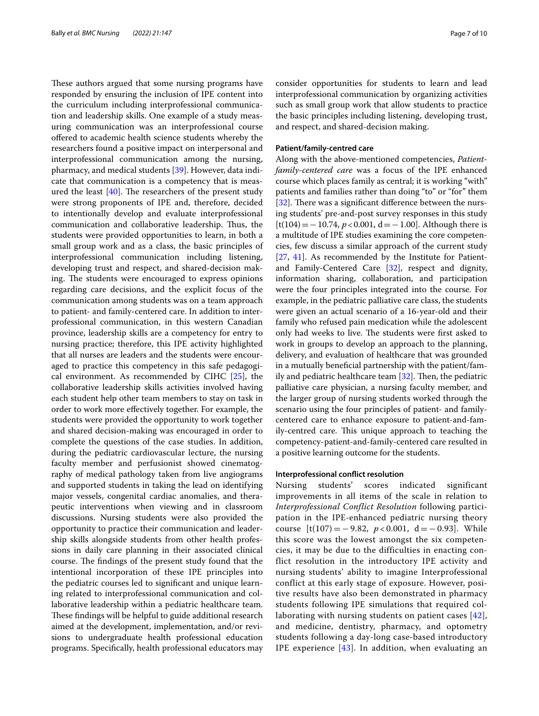These authors argued that some nursing programs have responded by ensuring the inclusion of IPE content into the curriculum including interprofessional communication and leadership skills. One example of a study measuring communication was an interprofessional course ofered to academic health science students whereby the researchers found a positive impact on interpersonal and interprofessional communication among the nursing, pharmacy, and medical students [\[39](#page-9-34)]. However, data indicate that communication is a competency that is measured the least  $[40]$  $[40]$ . The researchers of the present study were strong proponents of IPE and, therefore, decided to intentionally develop and evaluate interprofessional communication and collaborative leadership. Thus, the students were provided opportunities to learn, in both a small group work and as a class, the basic principles of interprofessional communication including listening, developing trust and respect, and shared-decision making. The students were encouraged to express opinions regarding care decisions, and the explicit focus of the communication among students was on a team approach to patient- and family-centered care. In addition to interprofessional communication, in this western Canadian province, leadership skills are a competency for entry to nursing practice; therefore, this IPE activity highlighted that all nurses are leaders and the students were encouraged to practice this competency in this safe pedagogical environment. As recommended by CIHC [[25\]](#page-9-21), the collaborative leadership skills activities involved having each student help other team members to stay on task in order to work more efectively together. For example, the students were provided the opportunity to work together and shared decision-making was encouraged in order to complete the questions of the case studies. In addition, during the pediatric cardiovascular lecture, the nursing faculty member and perfusionist showed cinematography of medical pathology taken from live angiograms and supported students in taking the lead on identifying major vessels, congenital cardiac anomalies, and therapeutic interventions when viewing and in classroom discussions. Nursing students were also provided the opportunity to practice their communication and leadership skills alongside students from other health professions in daily care planning in their associated clinical course. The findings of the present study found that the intentional incorporation of these IPE principles into the pediatric courses led to signifcant and unique learning related to interprofessional communication and collaborative leadership within a pediatric healthcare team. These findings will be helpful to guide additional research aimed at the development, implementation, and/or revisions to undergraduate health professional education programs. Specifcally, health professional educators may consider opportunities for students to learn and lead interprofessional communication by organizing activities such as small group work that allow students to practice the basic principles including listening, developing trust, and respect, and shared-decision making.

# **Patient/family‑centred care**

Along with the above-mentioned competencies, *Patientfamily-centered care* was a focus of the IPE enhanced course which places family as central; it is working "with" patients and families rather than doing "to" or "for" them [ $32$ ]. There was a significant difference between the nursing students' pre-and-post survey responses in this study [t(104)=−10.74, *p*<0.001, d=−1.00]. Although there is a multitude of IPE studies examining the core competencies, few discuss a similar approach of the current study [[27,](#page-9-23) [41\]](#page-9-36). As recommended by the Institute for Patientand Family-Centered Care [[32\]](#page-9-27), respect and dignity, information sharing, collaboration, and participation were the four principles integrated into the course. For example, in the pediatric palliative care class, the students were given an actual scenario of a 16-year-old and their family who refused pain medication while the adolescent only had weeks to live. The students were first asked to work in groups to develop an approach to the planning, delivery, and evaluation of healthcare that was grounded in a mutually beneficial partnership with the patient/family and pediatric healthcare team  $[32]$  $[32]$ . Then, the pediatric palliative care physician, a nursing faculty member, and the larger group of nursing students worked through the scenario using the four principles of patient- and familycentered care to enhance exposure to patient-and-family-centred care. This unique approach to teaching the competency-patient-and-family-centered care resulted in a positive learning outcome for the students.

## **Interprofessional confict resolution**

Nursing students' scores indicated significant improvements in all items of the scale in relation to *Interprofessional Conflict Resolution* following participation in the IPE-enhanced pediatric nursing theory course  $[t(107) = -9.82, p < 0.001, d = -0.93]$ . While this score was the lowest amongst the six competencies, it may be due to the difficulties in enacting conflict resolution in the introductory IPE activity and nursing students' ability to imagine Interprofessional conflict at this early stage of exposure. However, positive results have also been demonstrated in pharmacy students following IPE simulations that required collaborating with nursing students on patient cases [[42\]](#page-9-37), and medicine, dentistry, pharmacy, and optometry students following a day-long case-based introductory IPE experience [\[43\]](#page-9-38). In addition, when evaluating an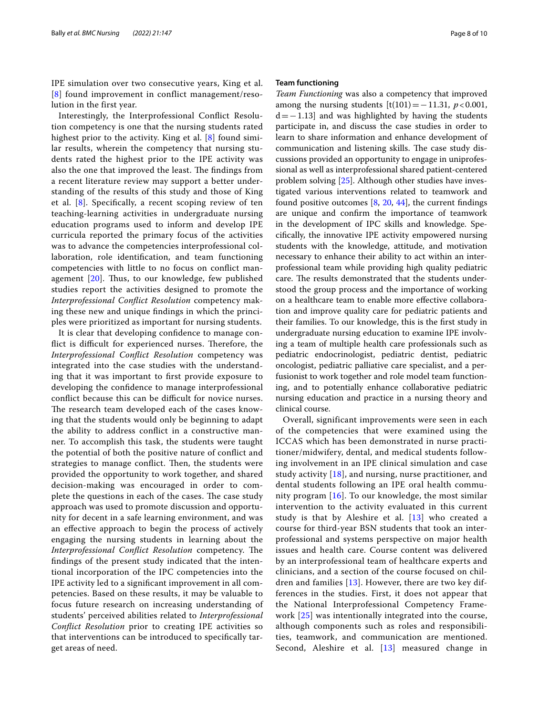IPE simulation over two consecutive years, King et al. [[8](#page-9-39)] found improvement in conflict management/resolution in the first year.

Interestingly, the Interprofessional Confict Resolution competency is one that the nursing students rated highest prior to the activity. King et al. [[8\]](#page-9-39) found similar results, wherein the competency that nursing students rated the highest prior to the IPE activity was also the one that improved the least. The findings from a recent literature review may support a better understanding of the results of this study and those of King et al. [\[8\]](#page-9-39). Specifcally, a recent scoping review of ten teaching-learning activities in undergraduate nursing education programs used to inform and develop IPE curricula reported the primary focus of the activities was to advance the competencies interprofessional collaboration, role identifcation, and team functioning competencies with little to no focus on confict management  $[20]$  $[20]$  $[20]$ . Thus, to our knowledge, few published studies report the activities designed to promote the *Interprofessional Confict Resolution* competency making these new and unique fndings in which the principles were prioritized as important for nursing students.

It is clear that developing confdence to manage conflict is difficult for experienced nurses. Therefore, the *Interprofessional Confict Resolution* competency was integrated into the case studies with the understanding that it was important to frst provide exposure to developing the confdence to manage interprofessional conflict because this can be difficult for novice nurses. The research team developed each of the cases knowing that the students would only be beginning to adapt the ability to address confict in a constructive manner. To accomplish this task, the students were taught the potential of both the positive nature of confict and strategies to manage conflict. Then, the students were provided the opportunity to work together, and shared decision-making was encouraged in order to complete the questions in each of the cases. The case study approach was used to promote discussion and opportunity for decent in a safe learning environment, and was an efective approach to begin the process of actively engaging the nursing students in learning about the *Interprofessional Conflict Resolution* competency. The fndings of the present study indicated that the intentional incorporation of the IPC competencies into the IPE activity led to a signifcant improvement in all competencies. Based on these results, it may be valuable to focus future research on increasing understanding of students' perceived abilities related to *Interprofessional Confict Resolution* prior to creating IPE activities so that interventions can be introduced to specifcally target areas of need.

## **Team functioning**

*Team Functioning* was also a competency that improved among the nursing students  $[t(101)=-11.31, p<0.001,$  $d=-1.13$ ] and was highlighted by having the students participate in, and discuss the case studies in order to learn to share information and enhance development of communication and listening skills. The case study discussions provided an opportunity to engage in uniprofessional as well as interprofessional shared patient-centered problem solving [[25\]](#page-9-21). Although other studies have investigated various interventions related to teamwork and found positive outcomes  $[8, 20, 44]$  $[8, 20, 44]$  $[8, 20, 44]$  $[8, 20, 44]$  $[8, 20, 44]$  $[8, 20, 44]$ , the current findings are unique and confrm the importance of teamwork in the development of IPC skills and knowledge. Specifcally, the innovative IPE activity empowered nursing students with the knowledge, attitude, and motivation necessary to enhance their ability to act within an interprofessional team while providing high quality pediatric care. The results demonstrated that the students understood the group process and the importance of working on a healthcare team to enable more efective collaboration and improve quality care for pediatric patients and their families. To our knowledge, this is the frst study in undergraduate nursing education to examine IPE involving a team of multiple health care professionals such as pediatric endocrinologist, pediatric dentist, pediatric oncologist, pediatric palliative care specialist, and a perfusionist to work together and role model team functioning, and to potentially enhance collaborative pediatric nursing education and practice in a nursing theory and clinical course.

Overall, significant improvements were seen in each of the competencies that were examined using the ICCAS which has been demonstrated in nurse practitioner/midwifery, dental, and medical students following involvement in an IPE clinical simulation and case study activity [\[18\]](#page-9-14), and nursing, nurse practitioner, and dental students following an IPE oral health community program [[16](#page-9-12)]. To our knowledge, the most similar intervention to the activity evaluated in this current study is that by Aleshire et al.  $[13]$  $[13]$  who created a course for third-year BSN students that took an interprofessional and systems perspective on major health issues and health care. Course content was delivered by an interprofessional team of healthcare experts and clinicians, and a section of the course focused on children and families [[13](#page-9-9)]. However, there are two key differences in the studies. First, it does not appear that the National Interprofessional Competency Framework [[25\]](#page-9-21) was intentionally integrated into the course, although components such as roles and responsibilities, teamwork, and communication are mentioned. Second, Aleshire et al. [[13\]](#page-9-9) measured change in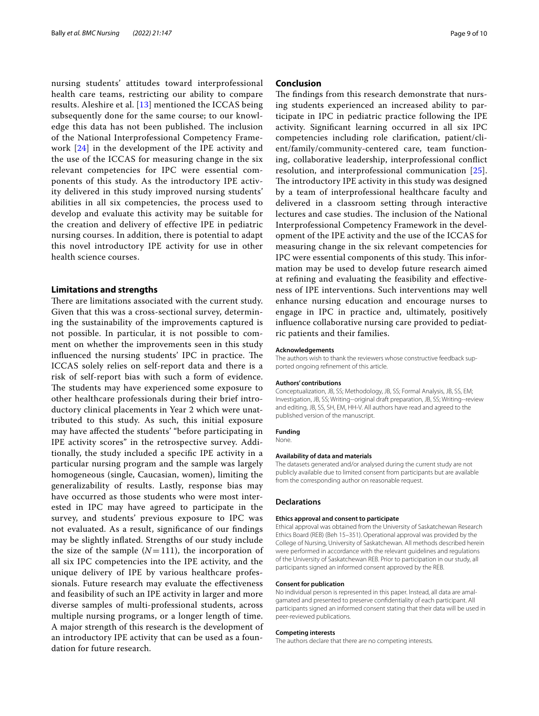nursing students' attitudes toward interprofessional health care teams, restricting our ability to compare results. Aleshire et al. [[13](#page-9-9)] mentioned the ICCAS being subsequently done for the same course; to our knowledge this data has not been published. The inclusion of the National Interprofessional Competency Framework [\[24\]](#page-9-20) in the development of the IPE activity and the use of the ICCAS for measuring change in the six relevant competencies for IPC were essential components of this study. As the introductory IPE activity delivered in this study improved nursing students' abilities in all six competencies, the process used to develop and evaluate this activity may be suitable for the creation and delivery of effective IPE in pediatric nursing courses. In addition, there is potential to adapt this novel introductory IPE activity for use in other health science courses.

# **Limitations and strengths**

There are limitations associated with the current study. Given that this was a cross-sectional survey, determining the sustainability of the improvements captured is not possible. In particular, it is not possible to comment on whether the improvements seen in this study influenced the nursing students' IPC in practice. The ICCAS solely relies on self-report data and there is a risk of self-report bias with such a form of evidence. The students may have experienced some exposure to other healthcare professionals during their brief introductory clinical placements in Year 2 which were unattributed to this study. As such, this initial exposure may have afected the students' "before participating in IPE activity scores" in the retrospective survey. Additionally, the study included a specifc IPE activity in a particular nursing program and the sample was largely homogeneous (single, Caucasian, women), limiting the generalizability of results. Lastly, response bias may have occurred as those students who were most interested in IPC may have agreed to participate in the survey, and students' previous exposure to IPC was not evaluated. As a result, signifcance of our fndings may be slightly infated. Strengths of our study include the size of the sample  $(N=111)$ , the incorporation of all six IPC competencies into the IPE activity, and the unique delivery of IPE by various healthcare professionals. Future research may evaluate the efectiveness and feasibility of such an IPE activity in larger and more diverse samples of multi-professional students, across multiple nursing programs, or a longer length of time. A major strength of this research is the development of an introductory IPE activity that can be used as a foundation for future research.

# **Conclusion**

The findings from this research demonstrate that nursing students experienced an increased ability to participate in IPC in pediatric practice following the IPE activity. Signifcant learning occurred in all six IPC competencies including role clarifcation, patient/client/family/community-centered care, team functioning, collaborative leadership, interprofessional confict resolution, and interprofessional communication [[25](#page-9-21)]. The introductory IPE activity in this study was designed by a team of interprofessional healthcare faculty and delivered in a classroom setting through interactive lectures and case studies. The inclusion of the National Interprofessional Competency Framework in the development of the IPE activity and the use of the ICCAS for measuring change in the six relevant competencies for IPC were essential components of this study. This information may be used to develop future research aimed at refning and evaluating the feasibility and efectiveness of IPE interventions. Such interventions may well enhance nursing education and encourage nurses to engage in IPC in practice and, ultimately, positively infuence collaborative nursing care provided to pediatric patients and their families.

#### **Acknowledgements**

The authors wish to thank the reviewers whose constructive feedback supported ongoing refnement of this article.

#### **Authors' contributions**

Conceptualization, JB, SS; Methodology, JB, SS; Formal Analysis, JB, SS, EM; Investigation, JB, SS; Writing--original draft preparation, JB, SS; Writing--review and editing, JB, SS, SH, EM, HH-V. All authors have read and agreed to the published version of the manuscript.

#### **Funding**

None.

#### **Availability of data and materials**

The datasets generated and/or analysed during the current study are not publicly available due to limited consent from participants but are available from the corresponding author on reasonable request.

#### **Declarations**

#### **Ethics approval and consent to participate**

Ethical approval was obtained from the University of Saskatchewan Research Ethics Board (REB) (Beh 15–351). Operational approval was provided by the College of Nursing, University of Saskatchewan. All methods described herein were performed in accordance with the relevant quidelines and regulations of the University of Saskatchewan REB. Prior to participation in our study, all participants signed an informed consent approved by the REB.

#### **Consent for publication**

No individual person is represented in this paper. Instead, all data are amalgamated and presented to preserve confdentiality of each participant. All participants signed an informed consent stating that their data will be used in peer-reviewed publications.

#### **Competing interests**

The authors declare that there are no competing interests.